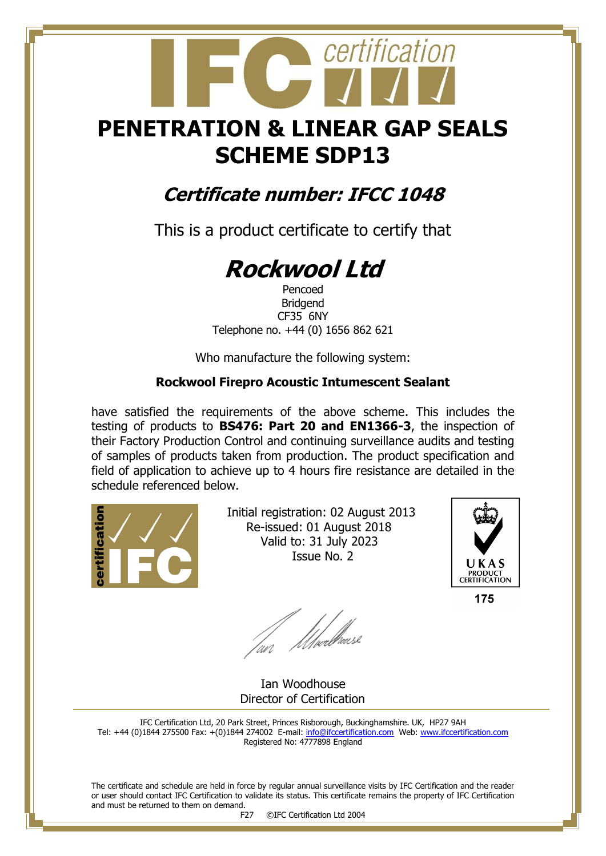## **PENETRATION & LINEAR GAP SEALS SCHEME SDP13**

certification

### **Certificate number: IFCC 1048**

This is a product certificate to certify that

# **Rockwool Ltd**

Pencoed Bridgend CF35 6NY Telephone no. +44 (0) 1656 862 621

Who manufacture the following system:

#### **Rockwool Firepro Acoustic Intumescent Sealant**

have satisfied the requirements of the above scheme. This includes the testing of products to **BS476: Part 20 and EN1366-3**, the inspection of their Factory Production Control and continuing surveillance audits and testing of samples of products taken from production. The product specification and field of application to achieve up to 4 hours fire resistance are detailed in the schedule referenced below.



 Initial registration: 02 August 2013 Re-issued: 01 August 2018 Valid to: 31 July 2023 Issue No. 2



175

fan Moedhouse

 Ian Woodhouse Director of Certification

IFC Certification Ltd, 20 Park Street, Princes Risborough, Buckinghamshire. UK, HP27 9AH Tel: +44 (0)1844 275500 Fax: +(0)1844 274002 E-mail[: info@ifccertification.com](mailto:info@ifccertification.com) Web: [www.ifccertification.com](http://www.ifccertification.com/) Registered No: 4777898 England

The certificate and schedule are held in force by regular annual surveillance visits by IFC Certification and the reader or user should contact IFC Certification to validate its status. This certificate remains the property of IFC Certification and must be returned to them on demand.